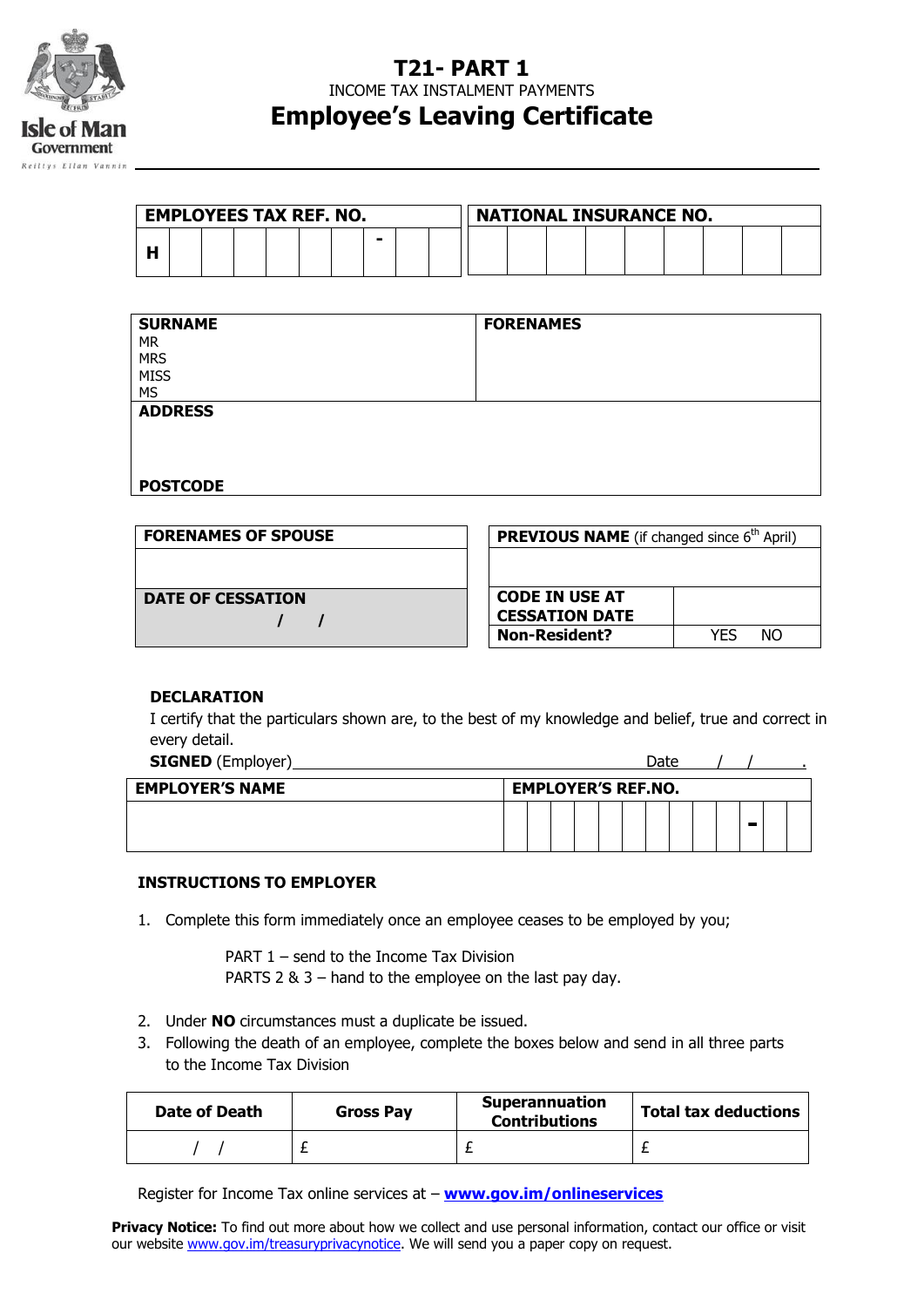

## **T21- PART 1**

INCOME TAX INSTALMENT PAYMENTS

# **Employee's Leaving Certificate**

| <b>EMPLOYEES TAX REF. NO.</b> |  |  |  |  |  | <b>NATIONAL INSURANCE NO.</b> |  |  |  |  |  |  |  |  |  |  |  |  |
|-------------------------------|--|--|--|--|--|-------------------------------|--|--|--|--|--|--|--|--|--|--|--|--|
|                               |  |  |  |  |  |                               |  |  |  |  |  |  |  |  |  |  |  |  |

| <b>SURNAME</b><br><b>MR</b><br><b>MRS</b><br><b>MISS</b><br><b>MS</b> | <b>FORENAMES</b> |
|-----------------------------------------------------------------------|------------------|
| <b>ADDRESS</b>                                                        |                  |
| <b>POSTCODE</b>                                                       |                  |

| <b>FORENAMES OF SPOUSE</b> | <b>PREVIOUS NAME</b> (if changed since 6 <sup>th</sup> April) |
|----------------------------|---------------------------------------------------------------|
|                            |                                                               |
| <b>DATE OF CESSATION</b>   | <b>CODE IN USE AT</b>                                         |
|                            | <b>CESSATION DATE</b>                                         |
|                            | <b>Non-Resident?</b><br>NΟ<br>YFS                             |

#### **DECLARATION**

I certify that the particulars shown are, to the best of my knowledge and belief, true and correct in every detail.

| <b>SIGNED</b> (Employer) |                           |  |  | Date |  |  |  |
|--------------------------|---------------------------|--|--|------|--|--|--|
| <b>EMPLOYER'S NAME</b>   | <b>EMPLOYER'S REF.NO.</b> |  |  |      |  |  |  |
|                          |                           |  |  |      |  |  |  |

#### **INSTRUCTIONS TO EMPLOYER**

1. Complete this form immediately once an employee ceases to be employed by you;

PART 1 – send to the Income Tax Division PARTS 2 & 3 – hand to the employee on the last pay day.

- 2. Under **NO** circumstances must a duplicate be issued.
- 3. Following the death of an employee, complete the boxes below and send in all three parts to the Income Tax Division

| Date of Death | <b>Gross Pay</b> |  | <b>Total tax deductions</b> |  |  |  |
|---------------|------------------|--|-----------------------------|--|--|--|
|               |                  |  |                             |  |  |  |

Register for Income Tax online services at – **[www.gov.im/onlineservices](http://www.gov.im/onlineservices)**

**Privacy Notice:** To find out more about how we collect and use personal information, contact our office or visit our website www.gov.im/treasuryprivacynotice. We will send you a paper copy on request.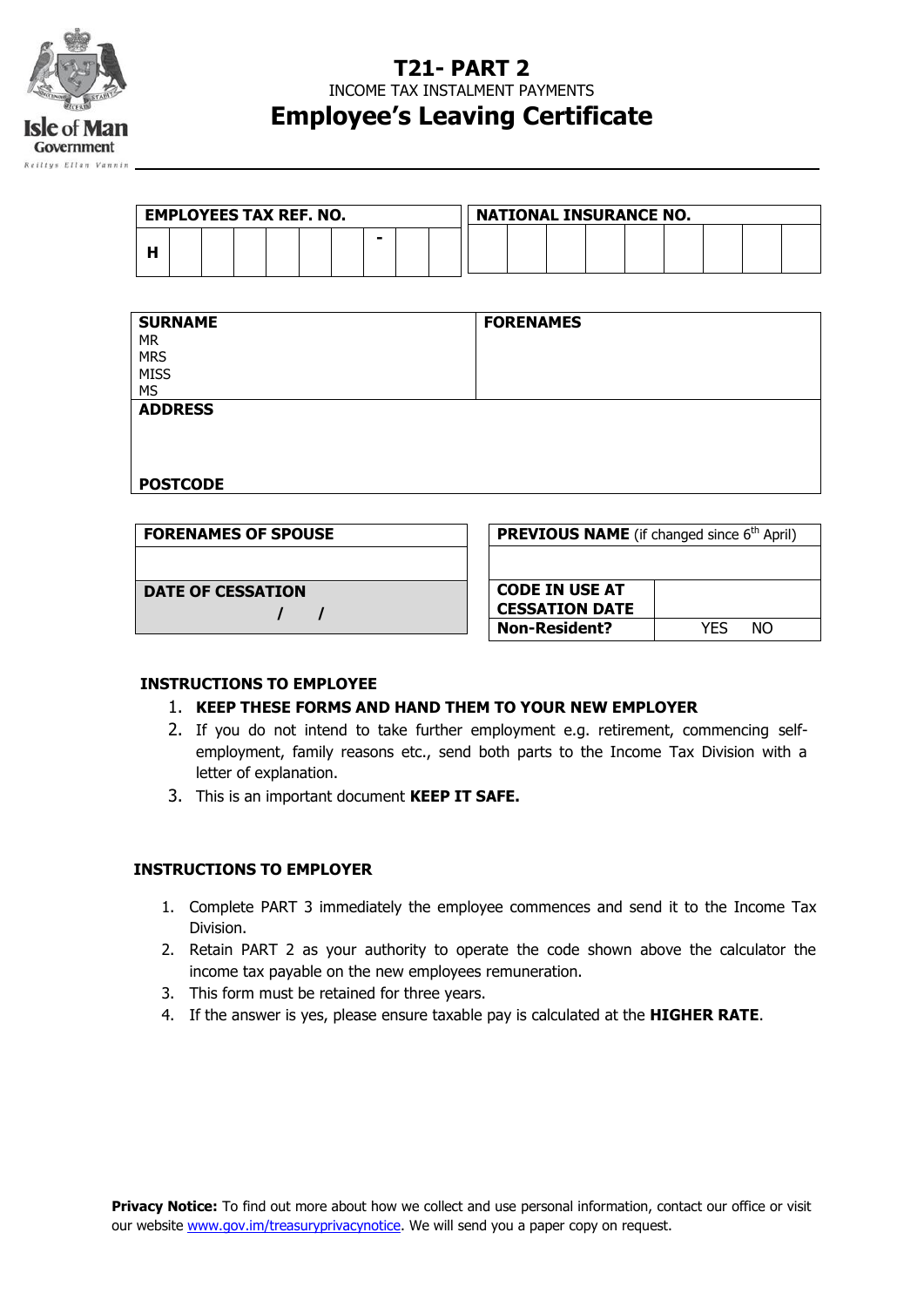

### **T21- PART 2**

INCOME TAX INSTALMENT PAYMENTS

## **Employee's Leaving Certificate**

| <b>EMPLOYEES TAX REF. NO.</b> |  |  |  |  |  |  | <b>NATIONAL INSURANCE NO.</b> |  |  |  |  |  |  |  |  |  |  |  |
|-------------------------------|--|--|--|--|--|--|-------------------------------|--|--|--|--|--|--|--|--|--|--|--|
|                               |  |  |  |  |  |  | ۰                             |  |  |  |  |  |  |  |  |  |  |  |

| <b>SURNAME</b>  | <b>FORENAMES</b> |
|-----------------|------------------|
| <b>MR</b>       |                  |
| <b>MRS</b>      |                  |
| <b>MISS</b>     |                  |
| <b>MS</b>       |                  |
| <b>ADDRESS</b>  |                  |
|                 |                  |
|                 |                  |
|                 |                  |
| <b>POSTCODE</b> |                  |

| <b>FORENAMES OF SPOUSE</b> | <b>PREVIOUS NAME</b> (if changed since 6 <sup>th</sup> April) |     |     |
|----------------------------|---------------------------------------------------------------|-----|-----|
|                            |                                                               |     |     |
| <b>DATE OF CESSATION</b>   | <b>CODE IN USE AT</b><br><b>CESSATION DATE</b>                |     |     |
|                            | <b>Non-Resident?</b>                                          | YFS | NO. |

#### **INSTRUCTIONS TO EMPLOYEE**

#### 1. **KEEP THESE FORMS AND HAND THEM TO YOUR NEW EMPLOYER**

- 2. If you do not intend to take further employment e.g. retirement, commencing selfemployment, family reasons etc., send both parts to the Income Tax Division with a letter of explanation.
- 3. This is an important document **KEEP IT SAFE.**

#### **INSTRUCTIONS TO EMPLOYER**

- 1. Complete PART 3 immediately the employee commences and send it to the Income Tax Division.
- 2. Retain PART 2 as your authority to operate the code shown above the calculator the income tax payable on the new employees remuneration.
- 3. This form must be retained for three years.
- 4. If the answer is yes, please ensure taxable pay is calculated at the **HIGHER RATE**.